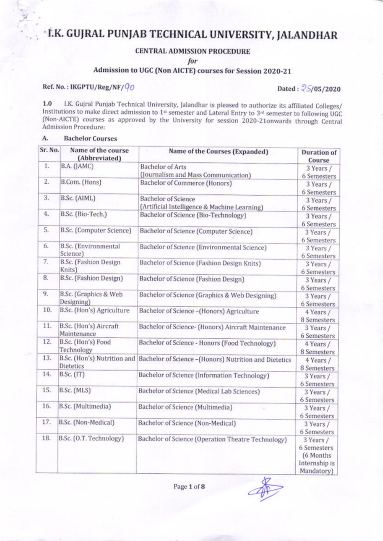# **T.K. GUJRAL PUNJAB TECHNICAL UNIVERSITY, JALANDHAR**

### **CENTRAL ADMISSION PROCEDURE**

for

## Admission to UGC (Non AICTE) courses for Session 2020-21

### Ref. No.: IKGPTU/Reg/NF/90

# Dated:  $\frac{25}{05}$ /2020

I.K. Gujral Punjab Technical University, Jalandhar is pleased to authorize its affiliated Colleges/ 1.0 Institutions to make direct admission to 1st semester and Lateral Entry to 3rd semester to following UGC (Non-AICTE) courses as approved by the University for session 2020-21onwards through Central Admission Procedure:

| А. | <b>Bachelor Courses</b> |  |
|----|-------------------------|--|
|----|-------------------------|--|

| Sr. No. | Name of the course<br>(Abbreviated)     | Name of the Courses (Expanded)                                                    | <b>Duration</b> of<br>Course                                          |
|---------|-----------------------------------------|-----------------------------------------------------------------------------------|-----------------------------------------------------------------------|
| 1.      | B.A. (JAMC)                             | <b>Bachelor of Arts</b>                                                           | 3 Years /                                                             |
| 2.      |                                         | (Journalism and Mass Communication)                                               | 6 Semesters                                                           |
|         | B.Com. (Hons)                           | Bachelor of Commerce (Honors)                                                     | 3 Years /<br>6 Semesters                                              |
| 3.      | B.Sc. (AIML)                            | <b>Bachelor</b> of Science<br>(Artificial Intelligence & Machine Learning)        | 3 Years /<br>6 Semesters                                              |
| 4.      | B.Sc. (Bio-Tech.)                       | Bachelor of Science (Bio-Technology)                                              | 3 Years /<br>6 Semesters                                              |
| 5.      | B.Sc. (Computer Science)                | Bachelor of Science (Computer Science)                                            | 3 Years /<br>6 Semesters                                              |
| 6.      | <b>B.Sc.</b> (Environmental<br>Science) | Bachelor of Science (Environmental Science)                                       | 3 Years /<br>6 Semesters                                              |
| 7.      | B.Sc. (Fashion Design<br>Knits)         | Bachelor of Science (Fashion Design Knits)                                        | 3 Years /<br>6 Semesters                                              |
| 8.      | B.Sc. (Fashion Design)                  | Bachelor of Science (Fashion Design)                                              | 3 Years /<br><b>6 Semesters</b>                                       |
| 9.      | B.Sc. (Graphics & Web<br>Designing)     | Bachelor of Science (Graphics & Web Designing)                                    | 3 Years /<br>6 Semesters                                              |
| 10.     | B.Sc. (Hon's) Agriculture               | Bachelor of Science -(Honors) Agriculture                                         | 4 Years /<br>8 Semesters                                              |
| 11.     | B.Sc. (Hon's) Aircraft<br>Maintenance   | Bachelor of Science- (Honors) Aircraft Maintenance                                | 3 Years /<br>6 Semesters                                              |
| 12.     | B.Sc. (Hon's) Food<br>Technology        | Bachelor of Science - Honors (Food Technology)                                    | 4 Years /<br>8 Semesters                                              |
| 13.     | Dietetics                               | B.Sc. (Hon's) Nutrition and Bachelor of Science -(Honors) Nutrition and Dietetics | 4 Years /<br>8 Semesters                                              |
| 14.     | B.Sc. (IT)                              | Bachelor of Science (Information Technology)                                      | 3 Years /<br>6 Semesters                                              |
| 15.     | B.Sc. (MLS)                             | Bachelor of Science (Medical Lab Sciences)                                        | 3 Years /<br>6 Semesters                                              |
| 16.     | B.Sc. (Multimedia)                      | Bachelor of Science (Multimedia)                                                  | 3 Years /<br>6 Semesters                                              |
| 17.     | B.Sc. (Non-Medical)                     | Bachelor of Science (Non-Medical)                                                 | 3 Years /<br>6 Semesters                                              |
| 18.     | B.Sc. (O.T. Technology)                 | Bachelor of Science (Operation Theatre Technology)                                | 3 Years /<br>6 Semesters<br>(6 Months)<br>Internship is<br>Mandatory) |

Page 1 of 8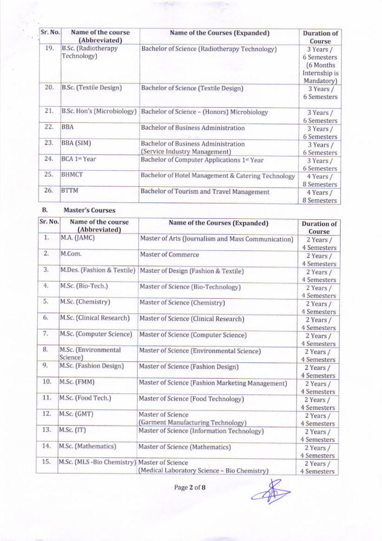| Sr. No. | Name of the course<br>(Abbreviated) | Name of the Courses (Expanded)                                       | Duration of<br>Course                                                 |
|---------|-------------------------------------|----------------------------------------------------------------------|-----------------------------------------------------------------------|
| 19.     | B.Sc. (Radiotherapy<br>Technology)  | Bachelor of Science (Radiotherapy Technology)                        | 3 Years /<br>6 Semesters<br>(6 Months)<br>Internship is<br>Mandatory) |
| 20.     | B.Sc. (Textile Design)              | Bachelor of Science (Textile Design)                                 | 3 Years /<br>6 Semesters                                              |
| 21.     | B.Sc. Hon's (Microbiology)          | Bachelor of Science - (Honors) Microbiology                          | 3 Years /<br>6 Semesters                                              |
| 22.     | <b>BBA</b>                          | Bachelor of Business Administration                                  | 3 Years /<br>6 Semesters                                              |
| 23.     | BBA (SIM)                           | Bachelor of Business Administration<br>(Service Industry Management) | 3 Years /<br>6 Semesters                                              |
| 24.     | <b>BCA 1st Year</b>                 | Bachelor of Computer Applications 1st Year                           | 3 Years /<br>6 Semesters                                              |
| 25.     | <b>BHMCT</b>                        | Bachelor of Hotel Management & Catering Technology                   | 4 Years /<br>8 Semesters                                              |
| 26.     | <b>BTTM</b>                         | Bachelor of Tourism and Travel Management                            | 4 Years /<br>8 Semesters                                              |

#### B. **Master's Courses**

| Sr. No.          | Name of the course<br>(Abbreviated)          | Name of the Courses (Expanded)                          | <b>Duration of</b><br>Course    |
|------------------|----------------------------------------------|---------------------------------------------------------|---------------------------------|
| 1.               | M.A. (JAMC)                                  | Master of Arts (Journalism and Mass Communication)      | 2 Years /<br>4 Semesters        |
| $\overline{2}$ . | M.Com.                                       | Master of Commerce                                      | 2 Years /<br>4 Semesters        |
| 3.               | M.Des. (Fashion & Textile)                   | Master of Design (Fashion & Textile)                    | 2 Years /<br>4 Semesters        |
| 4.               | M.Sc. (Bio-Tech.)                            | Master of Science (Bio-Technology)                      | 2 Years /<br>4 Semesters        |
| 5.               | M.Sc. (Chemistry)                            | Master of Science (Chemistry)                           | 2 Years /<br>4 Semesters        |
| 6.               | M.Sc. (Clinical Research)                    | Master of Science (Clinical Research)                   | 2 Years /<br>4 Semesters        |
| 7.               | M.Sc. (Computer Science)                     | Master of Science (Computer Science)                    | 2 Years /<br>4 Semesters        |
| 8.               | M.Sc. (Environmental<br>Science)             | Master of Science (Environmental Science)               | 2 Years /<br><b>4 Semesters</b> |
| 9.               | M.Sc. (Fashion Design)                       | Master of Science (Fashion Design)                      | 2 Years /<br>4 Semesters        |
| 10.              | M.Sc. (FMM)                                  | Master of Science (Fashion Marketing Management)        | 2 Years /<br><b>4 Semesters</b> |
| 11.              | M.Sc. (Food Tech.)                           | Master of Science (Food Technology)                     | 2 Years /<br>4 Semesters        |
| 12.              | M.Sc. (GMT)                                  | Master of Science<br>(Garment Manufacturing Technology) | 2 Years /<br>4 Semesters        |
| 13.              | M.Sc. (IT)                                   | Master of Science (Information Technology)              | 2 Years /<br>4 Semesters        |
| 14.              | M.Sc. (Mathematics)                          | Master of Science (Mathematics)                         | 2 Years /<br>4 Semesters        |
| 15.              | M.Sc. (MLS -Bio Chemistry) Master of Science | (Medical Laboratory Science - Bio Chemistry)            | 2 Years /<br>4 Semesters        |

Page 2 of 8

1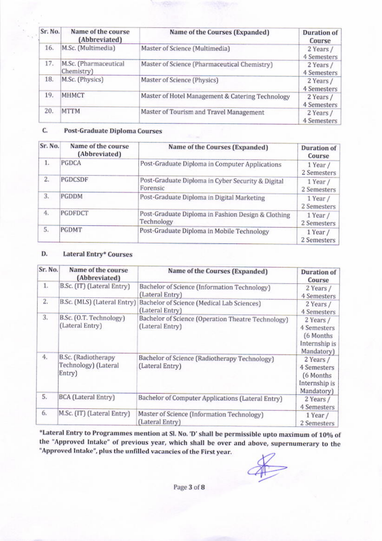| Sr. No. | Name of the course<br>(Abbreviated) | Name of the Courses (Expanded)                   | Duration of<br>Course    |
|---------|-------------------------------------|--------------------------------------------------|--------------------------|
| 16.     | M.Sc. (Multimedia)                  | Master of Science (Multimedia)                   | 2 Years /<br>4 Semesters |
| 17.     | M.Sc. (Pharmaceutical<br>Chemistry) | Master of Science (Pharmaceutical Chemistry)     | 2 Years /<br>4 Semesters |
| 18.     | M.Sc. (Physics)                     | Master of Science (Physics)                      | 2 Years /<br>4 Semesters |
| 19.     | <b>MHMCT</b>                        | Master of Hotel Management & Catering Technology | 2 Years /<br>4 Semesters |
| 20.     | <b>MTTM</b>                         | Master of Tourism and Travel Management          | 2 Years /<br>4 Semesters |

#### C. Post-Graduate Diploma Courses

| Sr. No. | Name of the course<br>(Abbreviated) | Name of the Courses (Expanded)                                   | Duration of<br>Course     |
|---------|-------------------------------------|------------------------------------------------------------------|---------------------------|
| 1.      | PGDCA                               | Post-Graduate Diploma in Computer Applications                   | 1 Year /<br>2 Semesters   |
| 2.      | PGDCSDF                             | Post-Graduate Diploma in Cyber Security & Digital<br>Forensic    | 1 Year /<br>2 Semesters   |
| 3.      | PGDDM                               | Post-Graduate Diploma in Digital Marketing                       | 1 Year /<br>2 Semesters   |
| 4.      | PGDFDCT                             | Post-Graduate Diploma in Fashion Design & Clothing<br>Technology | $1$ Year /<br>2 Semesters |
| 5.      | PGDMT                               | Post-Graduate Diploma in Mobile Technology                       | $1$ Year /<br>2 Semesters |

#### **Lateral Entry\* Courses** D.

| Sr. No.          | Name of the course<br>(Abbreviated)                   | Name of the Courses (Expanded)                                        | <b>Duration of</b><br>Course                                          |
|------------------|-------------------------------------------------------|-----------------------------------------------------------------------|-----------------------------------------------------------------------|
| 1.               | B.Sc. (IT) (Lateral Entry)                            | Bachelor of Science (Information Technology)<br>(Lateral Entry)       | 2 Years /<br>4 Semesters                                              |
| $\overline{2}$ . | B.Sc. (MLS) (Lateral Entry)                           | Bachelor of Science (Medical Lab Sciences)<br>(Lateral Entry)         | 2 Years /<br><b>4 Semesters</b>                                       |
| 3.               | B.Sc. (O.T. Technology)<br>(Lateral Entry)            | Bachelor of Science (Operation Theatre Technology)<br>(Lateral Entry) | 2 Years /<br>4 Semesters<br>(6 Months)<br>Internship is<br>Mandatory) |
| 4.               | B.Sc. (Radiotherapy<br>Technology) (Lateral<br>Entry) | Bachelor of Science (Radiotherapy Technology)<br>(Lateral Entry)      | 2 Years /<br>4 Semesters<br>(6 Months)<br>Internship is<br>Mandatory) |
| 5.               | BCA (Lateral Entry)                                   | Bachelor of Computer Applications (Lateral Entry)                     | 2 Years /<br>4 Semesters                                              |
| 6.               | M.Sc. (IT) (Lateral Entry)                            | Master of Science (Information Technology)<br>(Lateral Entry)         | 1 Year /<br>2 Semesters                                               |

\*Lateral Entry to Programmes mention at Sl. No. 'D' shall be permissible upto maximum of 10% of the "Approved Intake" of previous year, which shall be over and above, supernumerary to the "Approved Intake", plus the unfilled vacancies of the First year.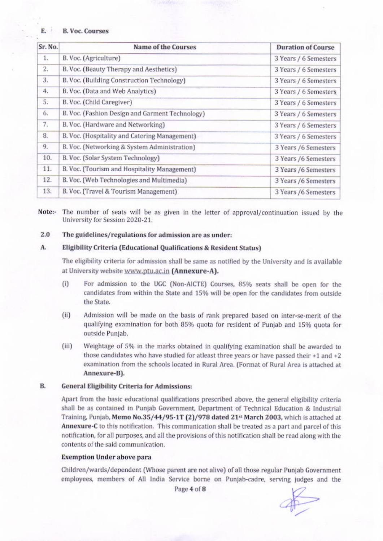#### **B. Voc. Courses**  $E =$

| Sr. No. | <b>Name of the Courses</b>                      | <b>Duration of Course</b> |
|---------|-------------------------------------------------|---------------------------|
| 1.      | B. Voc. (Agriculture)                           | 3 Years / 6 Semesters     |
| 2.      | B. Voc. (Beauty Therapy and Aesthetics)         | 3 Years / 6 Semesters     |
| 3.      | B. Voc. (Building Construction Technology)      | 3 Years / 6 Semesters     |
| 4.      | B. Voc. (Data and Web Analytics)                | 3 Years / 6 Semesters     |
| 5.      | B. Voc. (Child Caregiver)                       | 3 Years / 6 Semesters     |
| 6.      | B. Voc. (Fashion Design and Garment Technology) | 3 Years / 6 Semesters     |
| 7.      | B. Voc. (Hardware and Networking)               | 3 Years / 6 Semesters     |
| 8.      | B. Voc. (Hospitality and Catering Management)   | 3 Years / 6 Semesters     |
| 9.      | B. Voc. (Networking & System Administration)    | 3 Years /6 Semesters      |
| 10.     | B. Voc. (Solar System Technology)               | 3 Years /6 Semesters      |
| 11.     | B. Voc. (Tourism and Hospitality Management)    | 3 Years /6 Semesters      |
| 12.     | B. Voc. (Web Technologies and Multimedia)       | 3 Years /6 Semesters      |
| 13.     | B. Voc. (Travel & Tourism Management)           | 3 Years /6 Semesters      |
|         |                                                 |                           |

Note:- The number of seats will be as given in the letter of approval/continuation issued by the University for Session 2020-21.

#### 2.0 The guidelines/regulations for admission are as under:

#### A. Eligibility Criteria (Educational Qualifications & Resident Status)

The eligibility criteria for admission shall be same as notified by the University and is available at University website www.ptu.ac.in (Annexure-A).

- $(i)$ For admission to the UGC (Non-AICTE) Courses, 85% seats shall be open for the candidates from within the State and 15% will be open for the candidates from outside the State.
- $(ii)$ Admission will be made on the basis of rank prepared based on inter-se-merit of the qualifying examination for both 85% quota for resident of Punjab and 15% quota for outside Punjab.
- $(iii)$ Weightage of 5% in the marks obtained in qualifying examination shall be awarded to those candidates who have studied for atleast three years or have passed their +1 and +2 examination from the schools located in Rural Area. (Format of Rural Area is attached at Annexure-B).

#### **B. General Eligibility Criteria for Admissions:**

Apart from the basic educational qualifications prescribed above, the general eligibility criteria shall be as contained in Punjab Government, Department of Technical Education & Industrial Training, Punjab, Memo No.35/44/95-1T (2)/978 dated 21<sup>st</sup> March 2003, which is attached at Annexure-C to this notification. This communication shall be treated as a part and parcel of this notification, for all purposes, and all the provisions of this notification shall be read along with the contents of the said communication.

### **Exemption Under above para**

Children/wards/dependent (Whose parent are not alive) of all those regular Punjab Government employees, members of All India Service borne on Punjab-cadre, serving judges and the

Page 4 of 8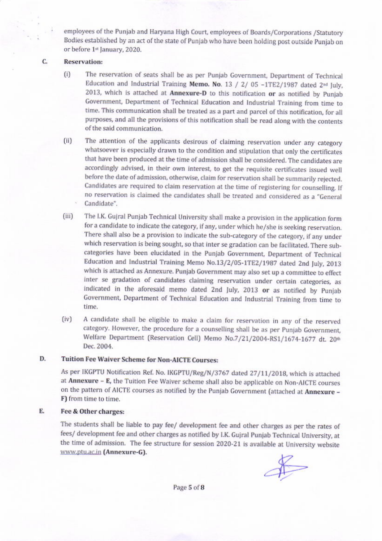employees of the Punjab and Haryana High Court, employees of Boards/Corporations /Statutory Bodies established by an act of the state of Punjab who have been holding post outside Punjab on or before 1st January, 2020.

#### C. **Reservation:**

- The reservation of seats shall be as per Punjab Government, Department of Technical  $(i)$ Education and Industrial Training Memo. No. 13 / 2/ 05 -1TE2/1987 dated 2<sup>nd</sup> July, 2013, which is attached at Annexure-D to this notification or as notified by Punjab Government, Department of Technical Education and Industrial Training from time to time. This communication shall be treated as a part and parcel of this notification, for all purposes, and all the provisions of this notification shall be read along with the contents of the said communication.
- $(ii)$ The attention of the applicants desirous of claiming reservation under any category whatsoever is especially drawn to the condition and stipulation that only the certificates that have been produced at the time of admission shall be considered. The candidates are accordingly advised, in their own interest, to get the requisite certificates issued well before the date of admission, otherwise, claim for reservation shall be summarily rejected. Candidates are required to claim reservation at the time of registering for counselling. If no reservation is claimed the candidates shall be treated and considered as a "General Candidate".
- The I.K. Gujral Punjab Technical University shall make a provision in the application form  $(iii)$ for a candidate to indicate the category, if any, under which he/she is seeking reservation. There shall also be a provision to indicate the sub-category of the category, if any under which reservation is being sought, so that inter se gradation can be facilitated. There subcategories have been elucidated in the Punjab Government, Department of Technical Education and Industrial Training Memo No.13/2/05-1TE2/1987 dated 2nd July, 2013 which is attached as Annexure. Punjab Government may also set up a committee to effect inter se gradation of candidates claiming reservation under certain categories, as indicated in the aforesaid memo dated 2nd July, 2013 or as notified by Punjab Government, Department of Technical Education and Industrial Training from time to time.
- $(iv)$ A candidate shall be eligible to make a claim for reservation in any of the reserved category. However, the procedure for a counselling shall be as per Punjab Government, Welfare Department (Reservation Cell) Memo No.7/21/2004-RS1/1674-1677 dt. 20th Dec. 2004.

#### D. Tuition Fee Waiver Scheme for Non-AICTE Courses:

As per IKGPTU Notification Ref. No. IKGPTU/Reg/N/3767 dated 27/11/2018, which is attached at Annexure - E, the Tuition Fee Waiver scheme shall also be applicable on Non-AICTE courses on the pattern of AICTE courses as notified by the Punjab Government (attached at Annexure -F) from time to time.

#### Е. Fee & Other charges:

The students shall be liable to pay fee/ development fee and other charges as per the rates of fees/ development fee and other charges as notified by I.K. Gujral Punjab Technical University, at the time of admission. The fee structure for session 2020-21 is available at University website www.ptu.ac.in (Annexure-G).

Page 5 of 8